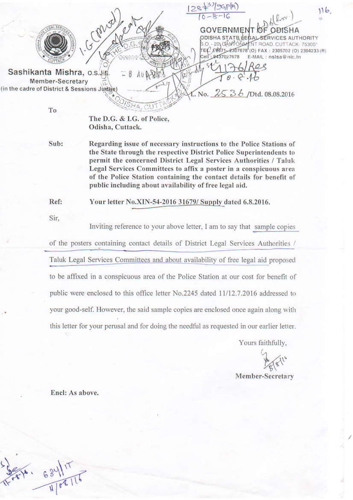$116$ **GOVERNMENT OF OBISHA** ODISHA STATE LESAL SERVICES AUTHORITY - 20 0AM ONLY NT ROAD, CUTTACK-753001 ŠΟ 18671-2307678(0) FAX: 2305702 (0) 2304233 (R) TEL. Cell: 9437027678 E-MAIL: oslsa@nic.in Sashikanta Mishra, o.s.J.S Member-Secretary (in the cadre of District & Sessions Judge) No.  $2536$  /Dtd. 08.08.2016

To

The D.G. & I.G. of Police, Odisha, Cuttack.

Sub: Regarding issue of necessary instructions to the Police Stations of the State through the respective District Police Superintendents to permit the concerned District Legal Services Authorities / Taluk Legal Services Committees to affix a poster in a conspicuous area of the Police Station containing the contact details for benefit of public including about availability of free legal aid.

Ref: Your letter No.XIN-54-2016 31679/ Supply dated 6.8.2016.

Sir.

Inviting reference to your above letter. I am to say that sample copies

of the posters containing contact details of District Legal Services Authorities / Taluk Legal Services Committees and about availability of free legal aid proposed to be affixed in a conspicuous area of the Police Station at our cost for benefit of public were enclosed to this office letter No.2245 dated 11/12.7.2016 addressed to your good-self. However, the said sample copies are enclosed once again along with this letter for your perusal and for doing the needful as requested in our earlier letter.

Yours faithfully.

Member-Secretary

Encl: As above.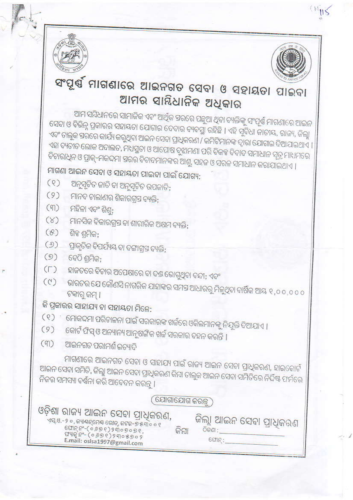



## ସଂପୂର୍ଷ ମାଗଣାରେ ଆଇନଗତ ସେବା ଓ ସହାୟତା ପାଇବା ଆମର ସାୟିଧାନିକ ଅଧୁକାର

ଆମ ସମ୍ବିଧାନରେ ସାମାଜିକ ଏବଂ ଆର୍ଥିକ ସରରେ ପନ୍ଧୁଆ ଥିବା ବ୍ୟକ୍ତିଙ୍କୁ ସଂପୂର୍ଣ୍ଣ ମାଗଣାରେ ଆଇନ ସେବା ଓ ବିଭିନ୍ନ ପ୍ରକାରର ସହାୟତା ଯୋଗାଇ ଦେବାର ବ୍ୟବସ୍ଥା ରହିଛି । ଏହି ସୁବିଧା ଜାତୀୟ, ରାଜ୍ୟ, ଜିଲ୍ଲା ଏବଂ ତାଲୁକ ସରରେ କାର୍ଯ୍ୟ କରୁଥିବା ଆଇନ ସେବା ପ୍ରାଧିକରଣ / କମିଟିମାନଙ୍କ ଦ୍ୱାରା ଯୋଗାଇ ଦିଆଯାଇଥାଏ । ଏହା ବ୍ୟତୀତ ଲୋକ ଅଦାଲତ, ମଧସ୍ଥତା ଓ ଆପୋଷ ବୁଝାମଣା ପରି ବିକକ୍ଟ ବିବାଦ ସମାଧାନ ସୂତ୍ର ମାଧମରେ ବିଚାରାଧିନ ଓ ପ୍ରାକ୍-ମକଦମା ସରର ବିବାଦମାନଙ୍କର ଆଶୁ, ସହଜ ଓ ସରଳ ସମାଧାନ କରାଯାଇଥାଏ ।

ମାଗଣା ଆଇନ ସେବା ଓ ସହାୟତା ପାଇବା ପାଇଁ ଯୋଗ୍ୟ:

- ଅନୁସୂଚିତ ଜାତି ବା ଅନୁସୂଚିତ ଉପଜାତି;  $(9)$
- (୨) ମାନବ ଚାଲାଣର ଶିକାରଗ୍ରସ ବ୍ୟକ୍ତି;
- (୩) ମହିଳା ଏବଂ ଶିଶ୍ର;
- $(8)$ ମାନସିକ ବିକାରଗ୍ରସ୍ତ ବା ଶାରୀରିକ ଅକ୍ଷମ ବ୍ୟକ୍ତି;
- $(8)$ ଶିକ ଶମିକ:
- ପ୍ରାକୃତିକ ବିପର୍ଯ୍ୟୟ ବା ଦଙ୍ଗାଗ୍ରସ ବ୍ୟକ୍ତି;  $(9)$
- $(9)$ ବେଠି ଶମିକ:
- ହାଜତରେ ବିଚାର ଅପେକ୍ଷାରେ ବା ବଣ୍ଡ ଭୋଗୁଥିବା ବନ୍ଦୀ; ଏବଂ  $(T)$
- ଭାରତର ଯେ କୌଣସି ନାଗରିକ ଯାହାଙ୍କର ସମସ୍ତ ଆଧାରରୁ ମିଳୁଥିବା ବାର୍ଷିକ ଆୟ ୧,୦୦,୦୦୦  $(0)$ ଟକାରୁ କମ୍ ।

## କି ପ୍ରକାରର ସାହାଯ୍ୟ ବା ସହାୟତା ମିଳେ:

- ( ୧ ) ମୋକଦ୍ଦମା ପରିଚାଳନା ପାଇଁ ସରକାରଙ୍କ ଖର୍ଚ୍ଚରେ ଓକିଲମାନଙ୍କୁ ନିଯୁକ୍ତି ଦିଆଯାଏ ।
- $(9)$ କୋର୍ଟ ଫିସ୍ ଓ ଅନ୍ୟାନ୍ୟ ଆନୁଷଙ୍ଗିକ ଖର୍ଚ୍ଚ ସରକାର ବହନ କରନ୍ତି ।
- ଆଇନଗତ ପରାମର୍ଶ ଇତ୍ୟାଦି  $(m)$

ମାଗଣାରେ ଆଇନଗତ ସେବା ଓ ସାହାଯ୍ୟ ପାଇଁ ରାଜ୍ୟ ଆଇନ ସେବା ପ୍ରାଧିକରଣ, ହାଇକୋର୍ଟ ଆଇନ ସେବା ସମିତି, ଜିଲ୍ଲା ଆଇନ ସେବା ପ୍ରାଧିକରଣ କିମ୍ବା ତାଲୁକ ଆଇନ ସେବା ସମିତିରେ ନିର୍ଦ୍ଦିଷ୍ଟ ଫର୍ମରେ ନିଜର ସମସ୍ୟା ବର୍ଣ୍ଣନା କରି ଆବେଦନ କରନ୍ତୁ ।

## (ଯୋଗାଯୋଗ କରନ୍ତ୍ର)

## ଓଡ଼ିଶା ରାଜ୍ୟ ଆଇନ ସେବା ପ୍ରାଧିକରଣ,

ଏସ୍.ଓ.-୨ ୦, ଜ୍ୟାୟନ୍ମେୟ ରୋଡ୍, ଜଟକ-୭ ୫୩୦ ୦ ୧ 

ଜିଲ୍ଲା ଆଇନ ସେବା ପ୍ରାଧିକରଣ କିମ୍ବା **O**କଣା :  $CCTIR$ :